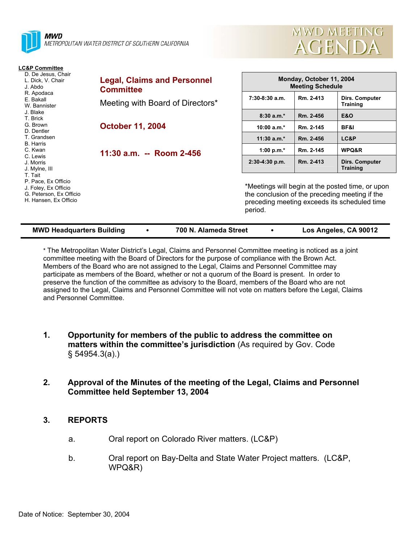



| <b>LC&amp;P Committee</b>                                                                                  |                                                        |                                                                                                                                                               |           |                                   |
|------------------------------------------------------------------------------------------------------------|--------------------------------------------------------|---------------------------------------------------------------------------------------------------------------------------------------------------------------|-----------|-----------------------------------|
| D. De Jesus, Chair<br>L. Dick, V. Chair<br>J. Abdo<br>R. Apodaca<br>E. Bakall<br>W. Bannister              | <b>Legal, Claims and Personnel</b><br><b>Committee</b> | Monday, October 11, 2004<br><b>Meeting Schedule</b>                                                                                                           |           |                                   |
|                                                                                                            | Meeting with Board of Directors*                       | 7:30-8:30 a.m.                                                                                                                                                | Rm. 2-413 | Dirs. Computer<br>Training        |
| J. Blake<br>T. Brick                                                                                       |                                                        | $8:30a.m.*$                                                                                                                                                   | Rm. 2-456 | <b>E&amp;O</b>                    |
| G. Brown<br>D. Dentler                                                                                     | <b>October 11, 2004</b>                                | 10:00 $a.m.*$                                                                                                                                                 | Rm. 2-145 | BF&I                              |
| T. Grandsen<br><b>B.</b> Harris                                                                            |                                                        | $11:30$ a.m.*                                                                                                                                                 | Rm. 2-456 | LC&P                              |
| C. Kwan                                                                                                    | 11:30 a.m. -- Room 2-456                               | 1:00 p.m. $*$                                                                                                                                                 | Rm. 2-145 | WPQ&R                             |
| C. Lewis<br>J. Morris<br>J. Mylne, III                                                                     |                                                        | $2:30-4:30$ p.m.                                                                                                                                              | Rm. 2-413 | Dirs. Computer<br><b>Training</b> |
| T. Tait<br>P. Pace, Ex Officio<br>J. Foley, Ex Officio<br>G. Peterson, Ex Officio<br>H. Hansen, Ex Officio |                                                        | *Meetings will begin at the posted time, or upon<br>the conclusion of the preceding meeting if the<br>preceding meeting exceeds its scheduled time<br>period. |           |                                   |

\* The Metropolitan Water District's Legal, Claims and Personnel Committee meeting is noticed as a joint committee meeting with the Board of Directors for the purpose of compliance with the Brown Act. Members of the Board who are not assigned to the Legal, Claims and Personnel Committee may participate as members of the Board, whether or not a quorum of the Board is present. In order to preserve the function of the committee as advisory to the Board, members of the Board who are not assigned to the Legal, Claims and Personnel Committee will not vote on matters before the Legal, Claims and Personnel Committee.

- **1. Opportunity for members of the public to address the committee on matters within the committee's jurisdiction** (As required by Gov. Code § 54954.3(a).)
- **2. Approval of the Minutes of the meeting of the Legal, Claims and Personnel Committee held September 13, 2004**

## **3. REPORTS**

- a. Oral report on Colorado River matters. (LC&P)
- b. Oral report on Bay-Delta and State Water Project matters. (LC&P, WPQ&R)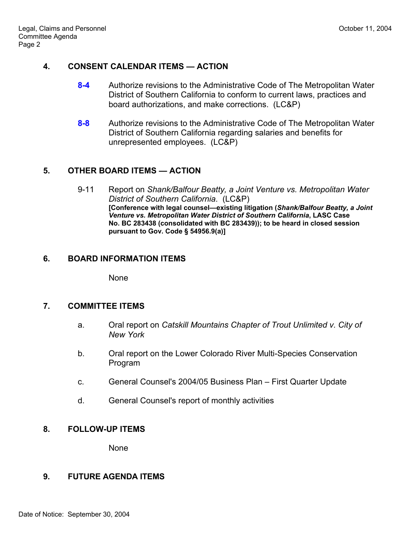### **4. CONSENT CALENDAR ITEMS — ACTION**

- **8-4** Authorize revisions to the Administrative Code of The Metropolitan Water District of Southern California to conform to current laws, practices and board authorizations, and make corrections. (LC&P)
- **8-8** Authorize revisions to the Administrative Code of The Metropolitan Water District of Southern California regarding salaries and benefits for unrepresented employees. (LC&P)

# **5. OTHER BOARD ITEMS — ACTION**

9-11 Report on *Shank/Balfour Beatty, a Joint Venture vs. Metropolitan Water District of Southern California*. (LC&P) **[Conference with legal counsel—existing litigation (***Shank/Balfour Beatty, a Joint Venture vs. Metropolitan Water District of Southern California***, LASC Case No. BC 283438 (consolidated with BC 283439)); to be heard in closed session pursuant to Gov. Code § 54956.9(a)]**

## **6. BOARD INFORMATION ITEMS**

None

## **7. COMMITTEE ITEMS**

- a. Oral report on *Catskill Mountains Chapter of Trout Unlimited v. City of New York*
- b. Oral report on the Lower Colorado River Multi-Species Conservation Program
- c. General Counsel's 2004/05 Business Plan First Quarter Update
- d. General Counsel's report of monthly activities

## **8. FOLLOW-UP ITEMS**

None

## **9. FUTURE AGENDA ITEMS**